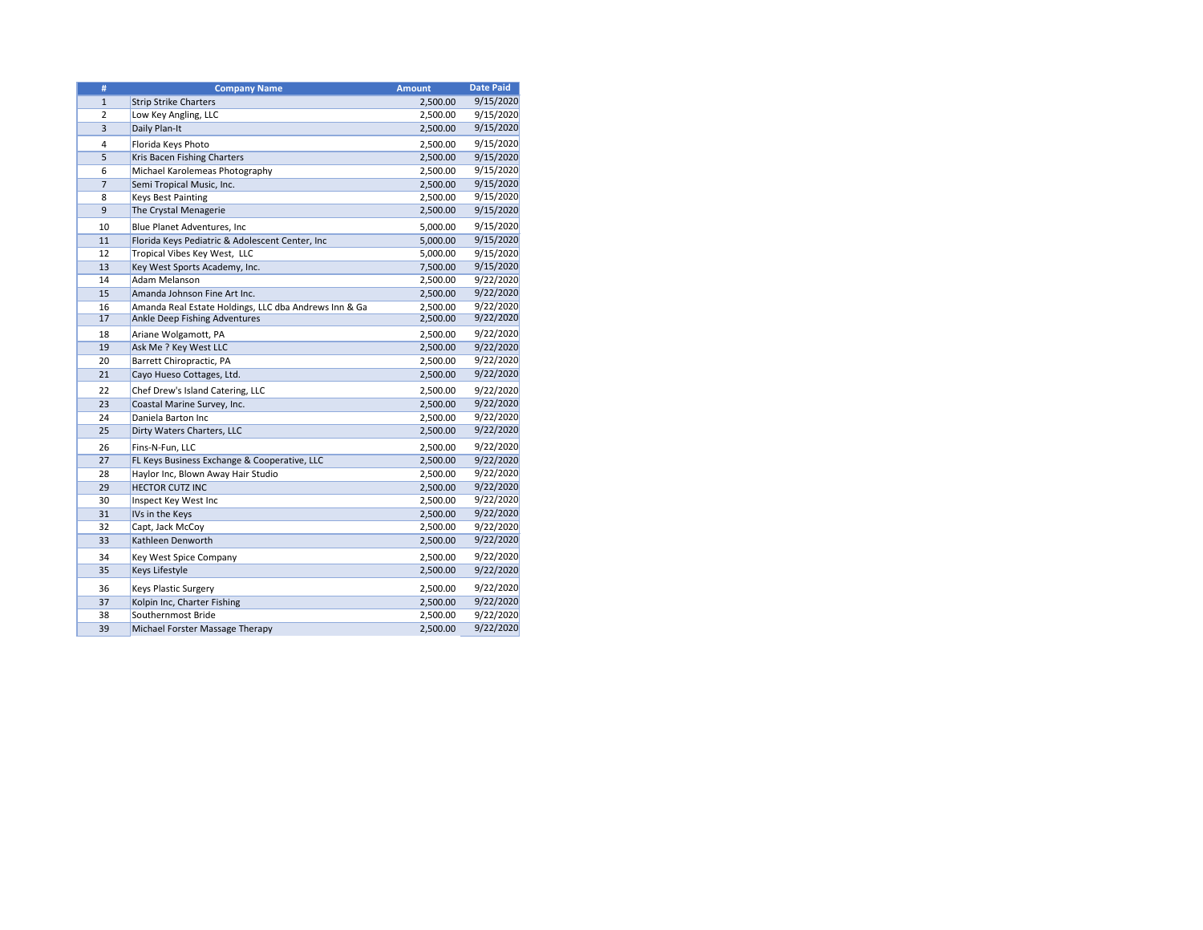| #              | <b>Company Name</b>                                   | <b>Amount</b> | <b>Date Paid</b> |
|----------------|-------------------------------------------------------|---------------|------------------|
| $\mathbf{1}$   | <b>Strip Strike Charters</b>                          | 2,500.00      | 9/15/2020        |
| $\overline{2}$ | Low Key Angling, LLC                                  | 2,500.00      | 9/15/2020        |
| 3              | Daily Plan-It                                         | 2,500.00      | 9/15/2020        |
| 4              | Florida Keys Photo                                    | 2,500.00      | 9/15/2020        |
| 5              | Kris Bacen Fishing Charters                           | 2,500.00      | 9/15/2020        |
| 6              | Michael Karolemeas Photography                        | 2,500.00      | 9/15/2020        |
| $\overline{7}$ | Semi Tropical Music, Inc.                             | 2,500.00      | 9/15/2020        |
| 8              | <b>Keys Best Painting</b>                             | 2,500.00      | 9/15/2020        |
| 9              | The Crystal Menagerie                                 | 2,500.00      | 9/15/2020        |
| 10             | Blue Planet Adventures, Inc                           | 5,000.00      | 9/15/2020        |
| 11             | Florida Keys Pediatric & Adolescent Center, Inc       | 5,000.00      | 9/15/2020        |
| 12             | Tropical Vibes Key West, LLC                          | 5,000.00      | 9/15/2020        |
| 13             | Key West Sports Academy, Inc.                         | 7,500.00      | 9/15/2020        |
| 14             | Adam Melanson                                         | 2,500.00      | 9/22/2020        |
| 15             | Amanda Johnson Fine Art Inc.                          | 2,500.00      | 9/22/2020        |
| 16             | Amanda Real Estate Holdings, LLC dba Andrews Inn & Ga | 2,500.00      | 9/22/2020        |
| 17             | <b>Ankle Deep Fishing Adventures</b>                  | 2,500.00      | 9/22/2020        |
| 18             | Ariane Wolgamott, PA                                  | 2,500.00      | 9/22/2020        |
| 19             | Ask Me ? Key West LLC                                 | 2,500.00      | 9/22/2020        |
| 20             | Barrett Chiropractic, PA                              | 2,500.00      | 9/22/2020        |
| 21             | Cayo Hueso Cottages, Ltd.                             | 2,500.00      | 9/22/2020        |
| 22             | Chef Drew's Island Catering, LLC                      | 2,500.00      | 9/22/2020        |
| 23             | Coastal Marine Survey, Inc.                           | 2,500.00      | 9/22/2020        |
| 24             | Daniela Barton Inc                                    | 2,500.00      | 9/22/2020        |
| 25             | Dirty Waters Charters, LLC                            | 2,500.00      | 9/22/2020        |
| 26             | Fins-N-Fun, LLC                                       | 2,500.00      | 9/22/2020        |
| 27             | FL Keys Business Exchange & Cooperative, LLC          | 2,500.00      | 9/22/2020        |
| 28             | Haylor Inc, Blown Away Hair Studio                    | 2,500.00      | 9/22/2020        |
| 29             | <b>HECTOR CUTZ INC</b>                                | 2,500.00      | 9/22/2020        |
| 30             | Inspect Key West Inc                                  | 2,500.00      | 9/22/2020        |
| 31             | IVs in the Keys                                       | 2,500.00      | 9/22/2020        |
| 32             | Capt, Jack McCoy                                      | 2,500.00      | 9/22/2020        |
| 33             | Kathleen Denworth                                     | 2,500.00      | 9/22/2020        |
| 34             | Key West Spice Company                                | 2,500.00      | 9/22/2020        |
| 35             | <b>Keys Lifestyle</b>                                 | 2,500.00      | 9/22/2020        |
| 36             | <b>Keys Plastic Surgery</b>                           | 2,500.00      | 9/22/2020        |
| 37             | Kolpin Inc, Charter Fishing                           | 2,500.00      | 9/22/2020        |
| 38             | Southernmost Bride                                    | 2,500.00      | 9/22/2020        |
| 39             | Michael Forster Massage Therapy                       | 2,500.00      | 9/22/2020        |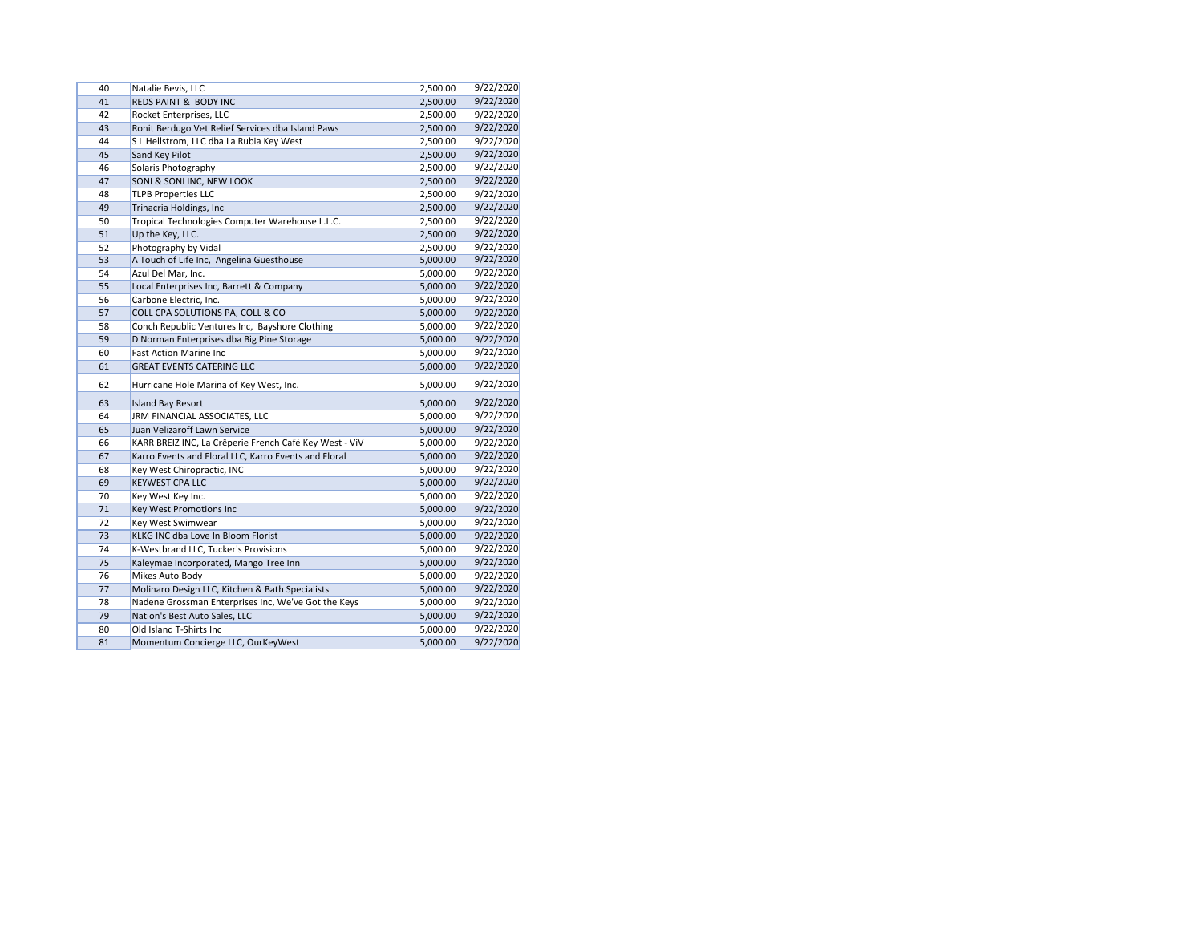| 40 | Natalie Bevis, LLC                                     | 2,500.00 | 9/22/2020 |
|----|--------------------------------------------------------|----------|-----------|
| 41 | REDS PAINT & BODY INC                                  | 2,500.00 | 9/22/2020 |
| 42 | Rocket Enterprises, LLC                                | 2,500.00 | 9/22/2020 |
| 43 | Ronit Berdugo Vet Relief Services dba Island Paws      | 2,500.00 | 9/22/2020 |
| 44 | S L Hellstrom, LLC dba La Rubia Key West               | 2,500.00 | 9/22/2020 |
| 45 | Sand Key Pilot                                         | 2,500.00 | 9/22/2020 |
| 46 | Solaris Photography                                    | 2,500.00 | 9/22/2020 |
| 47 | SONI & SONI INC, NEW LOOK                              | 2,500.00 | 9/22/2020 |
| 48 | <b>TLPB Properties LLC</b>                             | 2,500.00 | 9/22/2020 |
| 49 | Trinacria Holdings, Inc                                | 2,500.00 | 9/22/2020 |
| 50 | Tropical Technologies Computer Warehouse L.L.C.        | 2,500.00 | 9/22/2020 |
| 51 | Up the Key, LLC.                                       | 2,500.00 | 9/22/2020 |
| 52 | Photography by Vidal                                   | 2,500.00 | 9/22/2020 |
| 53 | A Touch of Life Inc, Angelina Guesthouse               | 5,000.00 | 9/22/2020 |
| 54 | Azul Del Mar, Inc.                                     | 5,000.00 | 9/22/2020 |
| 55 | Local Enterprises Inc, Barrett & Company               | 5,000.00 | 9/22/2020 |
| 56 | Carbone Electric, Inc.                                 | 5,000.00 | 9/22/2020 |
| 57 | COLL CPA SOLUTIONS PA, COLL & CO                       | 5,000.00 | 9/22/2020 |
| 58 | Conch Republic Ventures Inc, Bayshore Clothing         | 5,000.00 | 9/22/2020 |
| 59 | D Norman Enterprises dba Big Pine Storage              | 5,000.00 | 9/22/2020 |
| 60 | <b>Fast Action Marine Inc</b>                          | 5,000.00 | 9/22/2020 |
| 61 | <b>GREAT EVENTS CATERING LLC</b>                       | 5,000.00 | 9/22/2020 |
| 62 | Hurricane Hole Marina of Key West, Inc.                | 5,000.00 | 9/22/2020 |
| 63 | <b>Island Bay Resort</b>                               | 5,000.00 | 9/22/2020 |
| 64 | JRM FINANCIAL ASSOCIATES, LLC                          | 5,000.00 | 9/22/2020 |
| 65 | Juan Velizaroff Lawn Service                           | 5,000.00 | 9/22/2020 |
| 66 | KARR BREIZ INC, La Crêperie French Café Key West - ViV | 5,000.00 | 9/22/2020 |
| 67 | Karro Events and Floral LLC, Karro Events and Floral   | 5,000.00 | 9/22/2020 |
| 68 | Key West Chiropractic, INC                             | 5,000.00 | 9/22/2020 |
| 69 | <b>KEYWEST CPA LLC</b>                                 | 5,000.00 | 9/22/2020 |
| 70 | Key West Key Inc.                                      | 5,000.00 | 9/22/2020 |
| 71 | Key West Promotions Inc                                | 5,000.00 | 9/22/2020 |
| 72 | Key West Swimwear                                      | 5,000.00 | 9/22/2020 |
| 73 | KLKG INC dba Love In Bloom Florist                     | 5,000.00 | 9/22/2020 |
| 74 | K-Westbrand LLC, Tucker's Provisions                   | 5,000.00 | 9/22/2020 |
| 75 | Kaleymae Incorporated, Mango Tree Inn                  | 5,000.00 | 9/22/2020 |
| 76 | Mikes Auto Body                                        | 5,000.00 | 9/22/2020 |
| 77 | Molinaro Design LLC, Kitchen & Bath Specialists        | 5,000.00 | 9/22/2020 |
| 78 | Nadene Grossman Enterprises Inc, We've Got the Keys    | 5,000.00 | 9/22/2020 |
| 79 | Nation's Best Auto Sales, LLC                          | 5,000.00 | 9/22/2020 |
| 80 | Old Island T-Shirts Inc                                | 5,000.00 | 9/22/2020 |
| 81 | Momentum Concierge LLC, OurKeyWest                     | 5,000.00 | 9/22/2020 |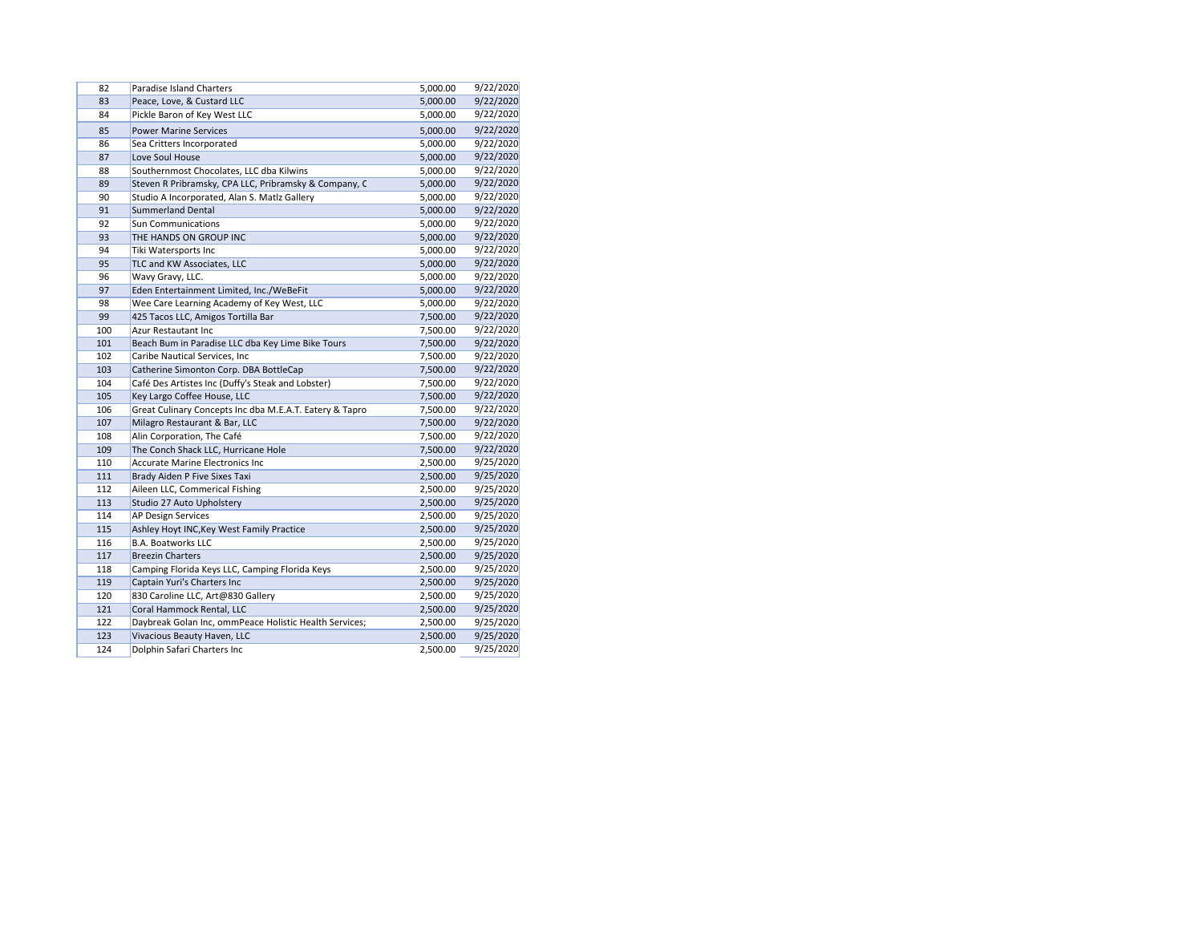| 82  | <b>Paradise Island Charters</b>                         | 5,000.00 | 9/22/2020 |
|-----|---------------------------------------------------------|----------|-----------|
| 83  | Peace, Love, & Custard LLC                              | 5,000.00 | 9/22/2020 |
| 84  | Pickle Baron of Key West LLC                            | 5,000.00 | 9/22/2020 |
| 85  | <b>Power Marine Services</b>                            | 5,000.00 | 9/22/2020 |
| 86  | Sea Critters Incorporated                               | 5,000.00 | 9/22/2020 |
| 87  | Love Soul House                                         | 5,000.00 | 9/22/2020 |
| 88  | Southernmost Chocolates, LLC dba Kilwins                | 5,000.00 | 9/22/2020 |
| 89  | Steven R Pribramsky, CPA LLC, Pribramsky & Company, C   | 5,000.00 | 9/22/2020 |
| 90  | Studio A Incorporated, Alan S. Matlz Gallery            | 5,000.00 | 9/22/2020 |
| 91  | <b>Summerland Dental</b>                                | 5,000.00 | 9/22/2020 |
| 92  | <b>Sun Communications</b>                               | 5,000.00 | 9/22/2020 |
| 93  | THE HANDS ON GROUP INC                                  | 5,000.00 | 9/22/2020 |
| 94  | Tiki Watersports Inc                                    | 5,000.00 | 9/22/2020 |
| 95  | TLC and KW Associates, LLC                              | 5,000.00 | 9/22/2020 |
| 96  | Wavy Gravy, LLC.                                        | 5,000.00 | 9/22/2020 |
| 97  | Eden Entertainment Limited, Inc./WeBeFit                | 5,000.00 | 9/22/2020 |
| 98  | Wee Care Learning Academy of Key West, LLC              | 5,000.00 | 9/22/2020 |
| 99  | 425 Tacos LLC, Amigos Tortilla Bar                      | 7,500.00 | 9/22/2020 |
| 100 | Azur Restautant Inc                                     | 7,500.00 | 9/22/2020 |
| 101 | Beach Bum in Paradise LLC dba Key Lime Bike Tours       | 7,500.00 | 9/22/2020 |
| 102 | Caribe Nautical Services, Inc                           | 7,500.00 | 9/22/2020 |
| 103 | Catherine Simonton Corp. DBA BottleCap                  | 7,500.00 | 9/22/2020 |
| 104 | Café Des Artistes Inc (Duffy's Steak and Lobster)       | 7,500.00 | 9/22/2020 |
| 105 | Key Largo Coffee House, LLC                             | 7,500.00 | 9/22/2020 |
| 106 | Great Culinary Concepts Inc dba M.E.A.T. Eatery & Tapro | 7,500.00 | 9/22/2020 |
| 107 | Milagro Restaurant & Bar, LLC                           | 7,500.00 | 9/22/2020 |
| 108 | Alin Corporation, The Café                              | 7,500.00 | 9/22/2020 |
| 109 | The Conch Shack LLC, Hurricane Hole                     | 7,500.00 | 9/22/2020 |
| 110 | <b>Accurate Marine Electronics Inc</b>                  | 2,500.00 | 9/25/2020 |
| 111 | Brady Aiden P Five Sixes Taxi                           | 2,500.00 | 9/25/2020 |
| 112 | Aileen LLC, Commerical Fishing                          | 2,500.00 | 9/25/2020 |
| 113 | Studio 27 Auto Upholstery                               | 2,500.00 | 9/25/2020 |
| 114 | AP Design Services                                      | 2,500.00 | 9/25/2020 |
| 115 | Ashley Hoyt INC, Key West Family Practice               | 2,500.00 | 9/25/2020 |
| 116 | <b>B.A. Boatworks LLC</b>                               | 2,500.00 | 9/25/2020 |
| 117 | <b>Breezin Charters</b>                                 | 2,500.00 | 9/25/2020 |
| 118 | Camping Florida Keys LLC, Camping Florida Keys          | 2,500.00 | 9/25/2020 |
| 119 | Captain Yuri's Charters Inc                             | 2,500.00 | 9/25/2020 |
| 120 | 830 Caroline LLC, Art@830 Gallery                       | 2,500.00 | 9/25/2020 |
| 121 | Coral Hammock Rental, LLC                               | 2,500.00 | 9/25/2020 |
| 122 | Daybreak Golan Inc, ommPeace Holistic Health Services;  | 2,500.00 | 9/25/2020 |
| 123 | Vivacious Beauty Haven, LLC                             | 2,500.00 | 9/25/2020 |
| 124 | Dolphin Safari Charters Inc                             | 2,500.00 | 9/25/2020 |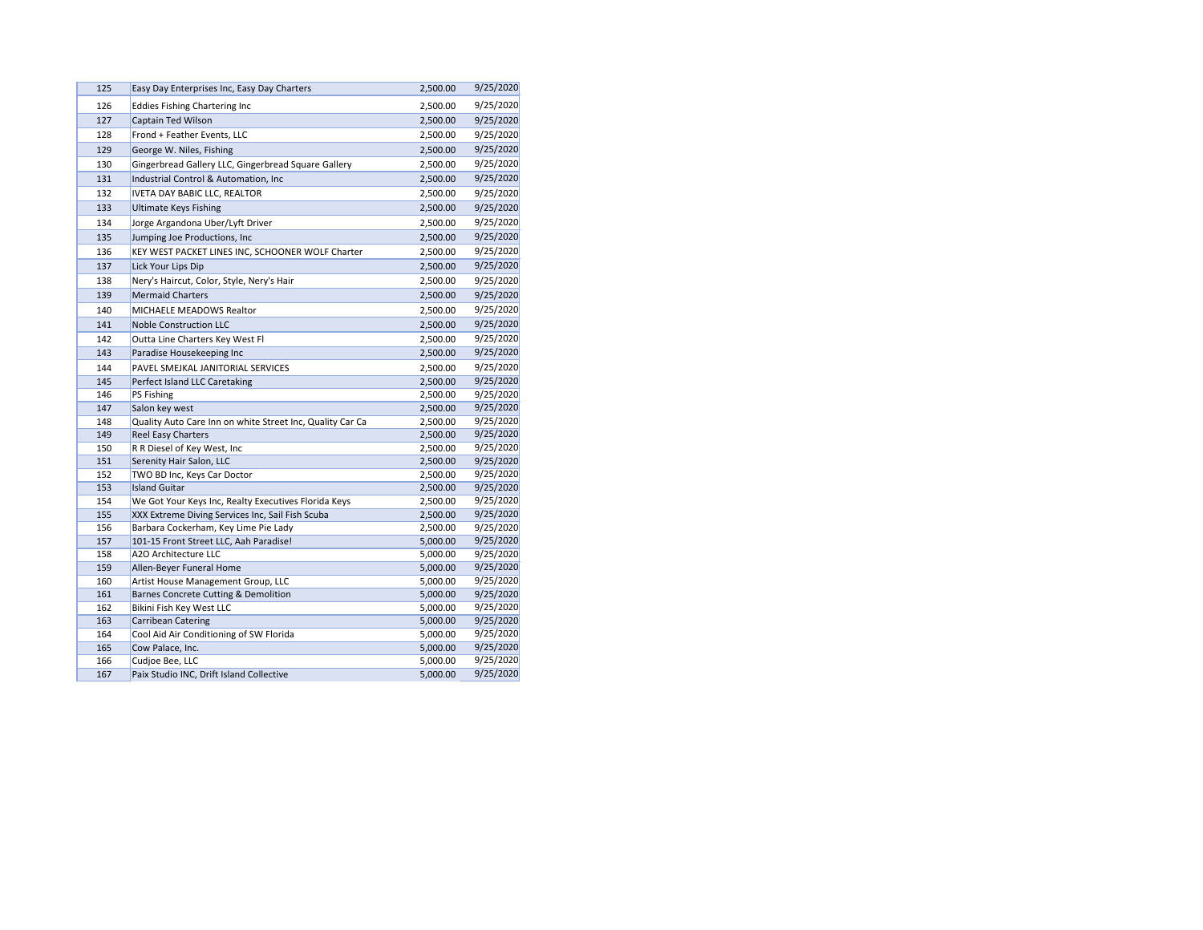| 125        | Easy Day Enterprises Inc, Easy Day Charters                                    | 2,500.00             | 9/25/2020              |
|------------|--------------------------------------------------------------------------------|----------------------|------------------------|
| 126        | <b>Eddies Fishing Chartering Inc</b>                                           | 2,500.00             | 9/25/2020              |
| 127        | Captain Ted Wilson                                                             | 2,500.00             | 9/25/2020              |
| 128        | Frond + Feather Events, LLC                                                    | 2,500.00             | 9/25/2020              |
| 129        | George W. Niles, Fishing                                                       | 2,500.00             | 9/25/2020              |
| 130        | Gingerbread Gallery LLC, Gingerbread Square Gallery                            | 2,500.00             | 9/25/2020              |
| 131        | Industrial Control & Automation, Inc                                           | 2,500.00             | 9/25/2020              |
| 132        | <b>IVETA DAY BABIC LLC, REALTOR</b>                                            | 2,500.00             | 9/25/2020              |
| 133        | <b>Ultimate Keys Fishing</b>                                                   | 2,500.00             | 9/25/2020              |
| 134        | Jorge Argandona Uber/Lyft Driver                                               | 2,500.00             | 9/25/2020              |
| 135        | Jumping Joe Productions, Inc                                                   | 2,500.00             | 9/25/2020              |
| 136        | KEY WEST PACKET LINES INC, SCHOONER WOLF Charter                               | 2,500.00             | 9/25/2020              |
| 137        | Lick Your Lips Dip                                                             | 2,500.00             | 9/25/2020              |
| 138        | Nery's Haircut, Color, Style, Nery's Hair                                      | 2,500.00             | 9/25/2020              |
| 139        | <b>Mermaid Charters</b>                                                        | 2,500.00             | 9/25/2020              |
| 140        | <b>MICHAELE MEADOWS Realtor</b>                                                | 2,500.00             | 9/25/2020              |
| 141        | <b>Noble Construction LLC</b>                                                  | 2,500.00             | 9/25/2020              |
| 142        | Outta Line Charters Key West Fl                                                | 2,500.00             | 9/25/2020              |
| 143        | Paradise Housekeeping Inc                                                      | 2,500.00             | 9/25/2020              |
| 144        | PAVEL SMEJKAL JANITORIAL SERVICES                                              | 2,500.00             | 9/25/2020              |
| 145        | Perfect Island LLC Caretaking                                                  | 2,500.00             | 9/25/2020              |
| 146        | PS Fishing                                                                     | 2,500.00             | 9/25/2020              |
| 147        | Salon key west                                                                 | 2,500.00             | 9/25/2020              |
| 148        | Quality Auto Care Inn on white Street Inc, Quality Car Ca                      | 2,500.00             | 9/25/2020              |
| 149        | <b>Reel Easy Charters</b>                                                      | 2,500.00             | 9/25/2020              |
| 150        | R R Diesel of Key West, Inc                                                    | 2,500.00             | 9/25/2020              |
| 151        | Serenity Hair Salon, LLC                                                       | 2,500.00             | 9/25/2020              |
| 152        | TWO BD Inc, Keys Car Doctor                                                    | 2,500.00             | 9/25/2020              |
| 153        | <b>Island Guitar</b>                                                           | 2,500.00             | 9/25/2020              |
| 154        | We Got Your Keys Inc, Realty Executives Florida Keys                           | 2,500.00             | 9/25/2020              |
| 155        | XXX Extreme Diving Services Inc, Sail Fish Scuba                               | 2,500.00             | 9/25/2020              |
| 156<br>157 | Barbara Cockerham, Key Lime Pie Lady<br>101-15 Front Street LLC, Aah Paradise! | 2,500.00<br>5,000.00 | 9/25/2020<br>9/25/2020 |
| 158        | A2O Architecture LLC                                                           | 5,000.00             | 9/25/2020              |
| 159        | Allen-Beyer Funeral Home                                                       | 5,000.00             | 9/25/2020              |
| 160        | Artist House Management Group, LLC                                             | 5,000.00             | 9/25/2020              |
| 161        | Barnes Concrete Cutting & Demolition                                           | 5,000.00             | 9/25/2020              |
| 162        | Bikini Fish Key West LLC                                                       | 5,000.00             | 9/25/2020              |
| 163        | <b>Carribean Catering</b>                                                      | 5,000.00             | 9/25/2020              |
| 164        | Cool Aid Air Conditioning of SW Florida                                        | 5,000.00             | 9/25/2020              |
| 165        | Cow Palace, Inc.                                                               | 5,000.00             | 9/25/2020              |
| 166        | Cudjoe Bee, LLC                                                                | 5,000.00             | 9/25/2020              |
| 167        | Paix Studio INC, Drift Island Collective                                       | 5,000.00             | 9/25/2020              |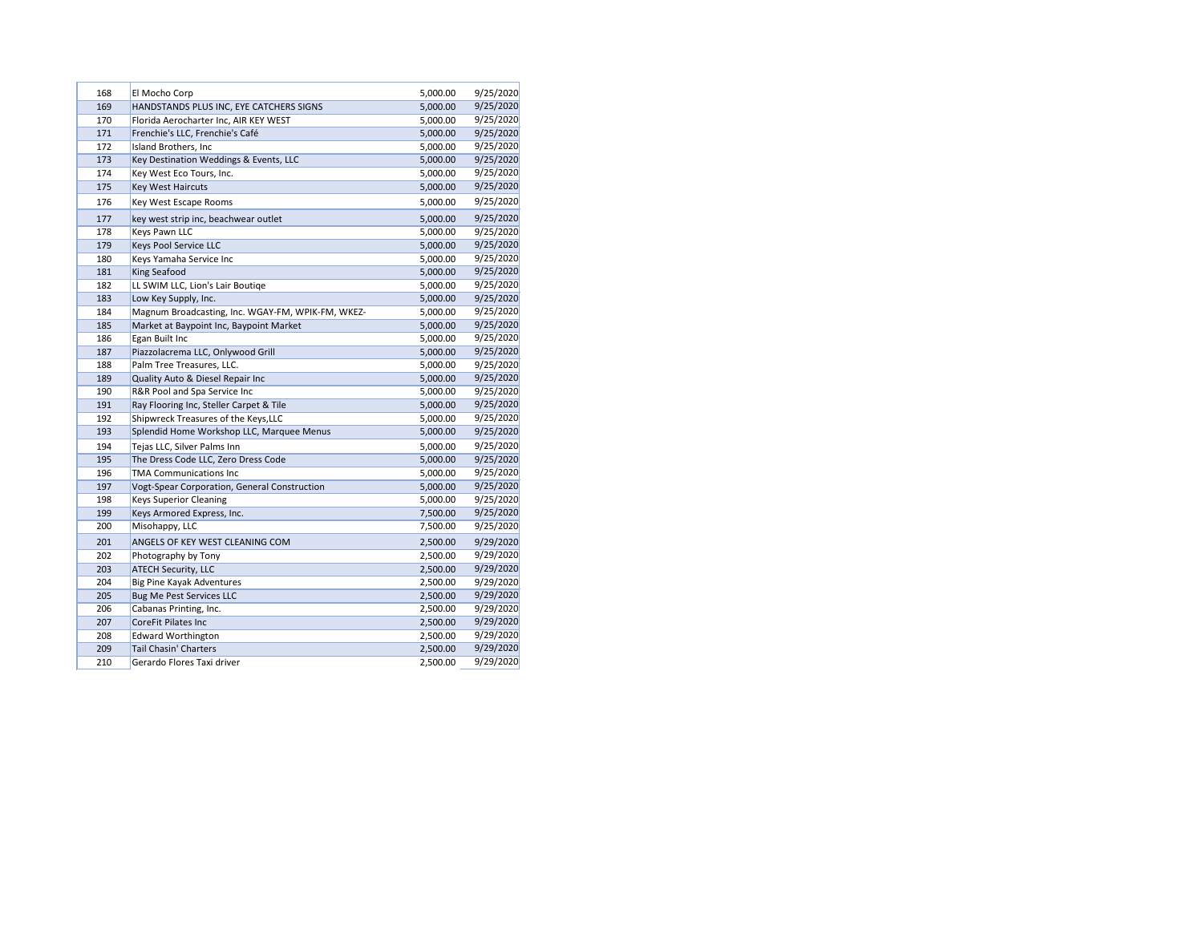| 168 | El Mocho Corp                                     | 5,000.00 | 9/25/2020 |
|-----|---------------------------------------------------|----------|-----------|
| 169 | HANDSTANDS PLUS INC, EYE CATCHERS SIGNS           | 5,000.00 | 9/25/2020 |
| 170 | Florida Aerocharter Inc, AIR KEY WEST             | 5,000.00 | 9/25/2020 |
| 171 | Frenchie's LLC, Frenchie's Café                   | 5,000.00 | 9/25/2020 |
| 172 | Island Brothers, Inc                              | 5,000.00 | 9/25/2020 |
| 173 | Key Destination Weddings & Events, LLC            | 5,000.00 | 9/25/2020 |
| 174 | Key West Eco Tours, Inc.                          | 5,000.00 | 9/25/2020 |
| 175 | <b>Key West Haircuts</b>                          | 5,000.00 | 9/25/2020 |
| 176 | Key West Escape Rooms                             | 5,000.00 | 9/25/2020 |
| 177 | key west strip inc, beachwear outlet              | 5,000.00 | 9/25/2020 |
| 178 | Keys Pawn LLC                                     | 5,000.00 | 9/25/2020 |
| 179 | Keys Pool Service LLC                             | 5,000.00 | 9/25/2020 |
| 180 | Keys Yamaha Service Inc                           | 5,000.00 | 9/25/2020 |
| 181 | <b>King Seafood</b>                               | 5,000.00 | 9/25/2020 |
| 182 | LL SWIM LLC, Lion's Lair Boutiqe                  | 5,000.00 | 9/25/2020 |
| 183 | Low Key Supply, Inc.                              | 5,000.00 | 9/25/2020 |
| 184 | Magnum Broadcasting, Inc. WGAY-FM, WPIK-FM, WKEZ- | 5,000.00 | 9/25/2020 |
| 185 | Market at Baypoint Inc, Baypoint Market           | 5,000.00 | 9/25/2020 |
| 186 | Egan Built Inc                                    | 5,000.00 | 9/25/2020 |
| 187 | Piazzolacrema LLC, Onlywood Grill                 | 5,000.00 | 9/25/2020 |
| 188 | Palm Tree Treasures, LLC.                         | 5,000.00 | 9/25/2020 |
| 189 | Quality Auto & Diesel Repair Inc                  | 5,000.00 | 9/25/2020 |
| 190 | R&R Pool and Spa Service Inc                      | 5,000.00 | 9/25/2020 |
| 191 | Ray Flooring Inc, Steller Carpet & Tile           | 5,000.00 | 9/25/2020 |
| 192 | Shipwreck Treasures of the Keys, LLC              | 5,000.00 | 9/25/2020 |
| 193 | Splendid Home Workshop LLC, Marquee Menus         | 5,000.00 | 9/25/2020 |
| 194 | Tejas LLC, Silver Palms Inn                       | 5,000.00 | 9/25/2020 |
| 195 | The Dress Code LLC, Zero Dress Code               | 5,000.00 | 9/25/2020 |
| 196 | <b>TMA Communications Inc</b>                     | 5,000.00 | 9/25/2020 |
| 197 | Vogt-Spear Corporation, General Construction      | 5,000.00 | 9/25/2020 |
| 198 | <b>Keys Superior Cleaning</b>                     | 5,000.00 | 9/25/2020 |
| 199 | Keys Armored Express, Inc.                        | 7,500.00 | 9/25/2020 |
| 200 | Misohappy, LLC                                    | 7,500.00 | 9/25/2020 |
| 201 | ANGELS OF KEY WEST CLEANING COM                   | 2,500.00 | 9/29/2020 |
| 202 | Photography by Tony                               | 2,500.00 | 9/29/2020 |
| 203 | <b>ATECH Security, LLC</b>                        | 2,500.00 | 9/29/2020 |
| 204 | <b>Big Pine Kayak Adventures</b>                  | 2,500.00 | 9/29/2020 |
| 205 | <b>Bug Me Pest Services LLC</b>                   | 2,500.00 | 9/29/2020 |
| 206 | Cabanas Printing, Inc.                            | 2,500.00 | 9/29/2020 |
| 207 | <b>CoreFit Pilates Inc</b>                        | 2,500.00 | 9/29/2020 |
| 208 | <b>Edward Worthington</b>                         | 2,500.00 | 9/29/2020 |
| 209 | <b>Tail Chasin' Charters</b>                      | 2,500.00 | 9/29/2020 |
| 210 | Gerardo Flores Taxi driver                        | 2,500.00 | 9/29/2020 |